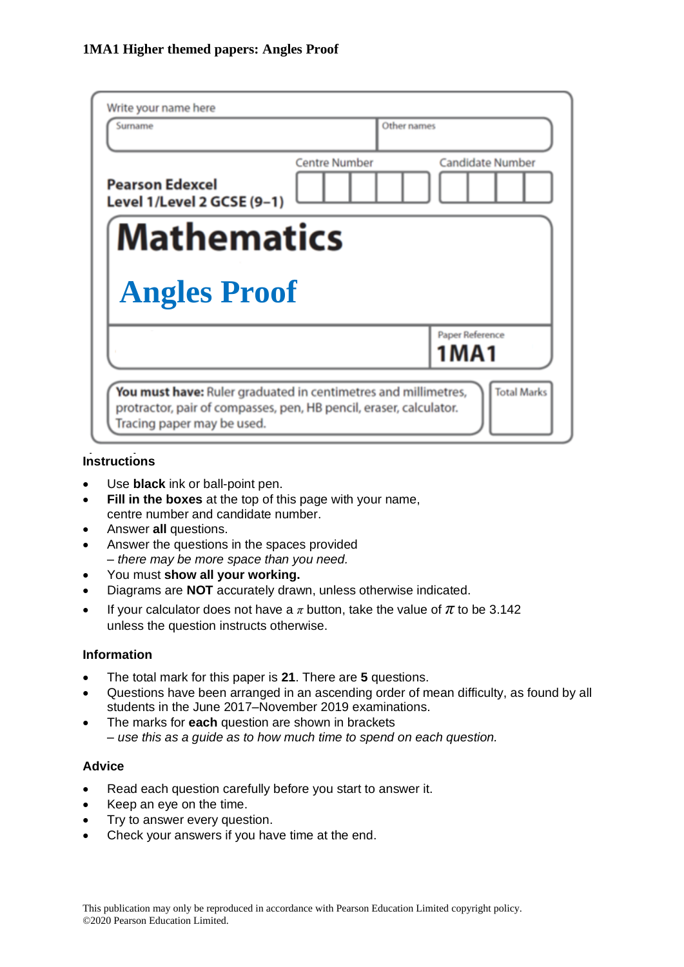| Write your name here<br>Surname                      | Other names          |                         |
|------------------------------------------------------|----------------------|-------------------------|
| <b>Pearson Edexcel</b><br>Level 1/Level 2 GCSE (9-1) | <b>Centre Number</b> | <b>Candidate Number</b> |
| <b>Mathematics</b>                                   |                      |                         |
| <b>Angles Proof</b>                                  |                      |                         |
|                                                      |                      | Paper Reference         |
|                                                      |                      | <b>1MA1</b>             |

## **Instructions**

- Use **black** ink or ball-point pen.
- **Fill in the boxes** at the top of this page with your name, centre number and candidate number.
- Answer **all** questions.
- Answer the questions in the spaces provided *– there may be more space than you need.*
- You must **show all your working.**
- Diagrams are **NOT** accurately drawn, unless otherwise indicated.
- If your calculator does not have a  $\pi$  button, take the value of  $\pi$  to be 3.142 unless the question instructs otherwise.

## **Information**

- The total mark for this paper is **21**. There are **5** questions.
- Questions have been arranged in an ascending order of mean difficulty, as found by all students in the June 2017–November 2019 examinations.
- The marks for **each** question are shown in brackets *– use this as a guide as to how much time to spend on each question.*

## **Advice**

- Read each question carefully before you start to answer it.
- Keep an eye on the time.
- Try to answer every question.
- Check your answers if you have time at the end.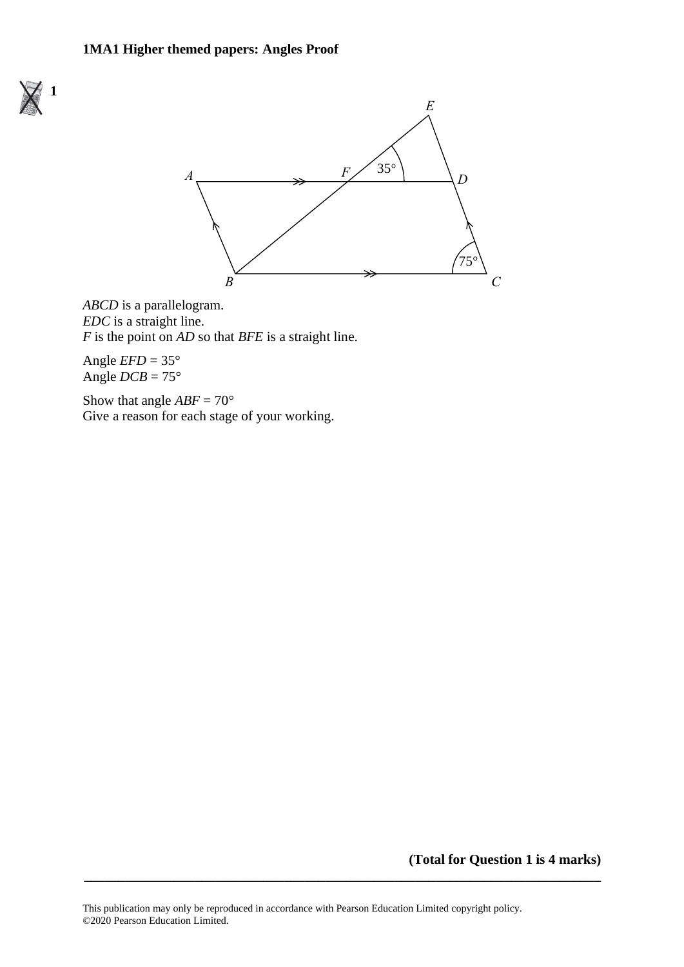#### **1MA1 Higher themed papers: Angles Proof**





*ABCD* is a parallelogram. *EDC* is a straight line.  $F$  is the point on  $AD$  so that  $BFE$  is a straight line.

Angle  $EFD = 35^\circ$ Angle  $DCB = 75^{\circ}$ 

Show that angle  $ABF = 70^{\circ}$ Give a reason for each stage of your working.

**(Total for Question 1 is 4 marks)**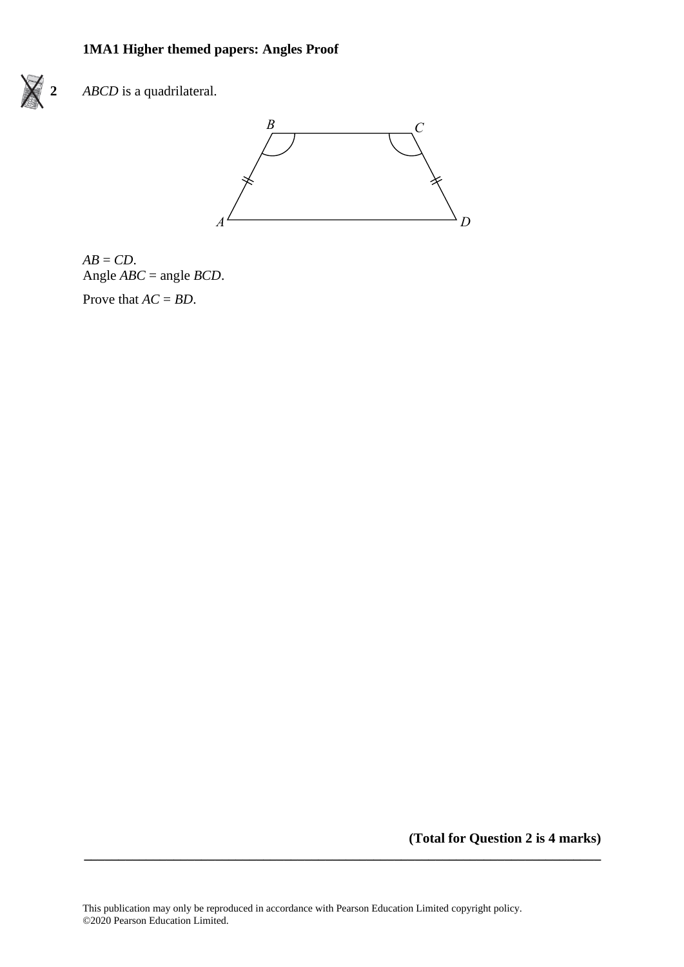# **1MA1 Higher themed papers: Angles Proof**



**2** *ABCD* is a quadrilateral. **21** *ABCD* is a quadrilateral.





**(Total for Question 2 is 4 marks)**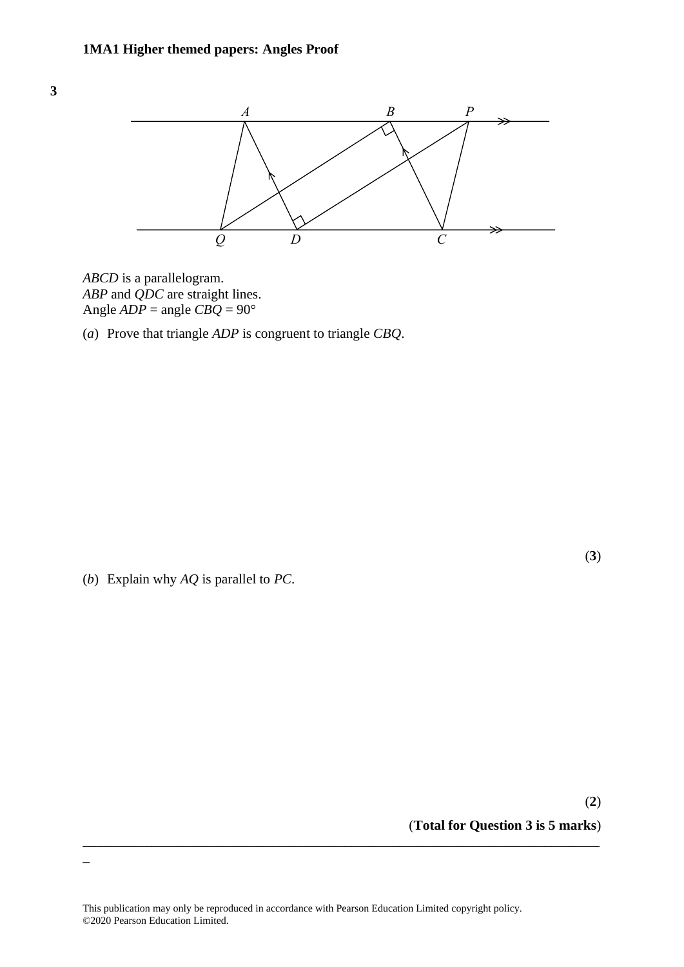

*ABCD* is a parallelogram. *ABCD* is <sup>a</sup> parallelogram. *ABP* and *QDC* are straight lines. *ABP* and *QDC* are straight lines. Angle *ADP* = angle *CBQ* = 90° Angle *ADP* <sup>=</sup> angle *CBQ* <sup>=</sup> 90

(*a*) Prove that triangle *ADP* is congruent to triangle *CBQ*. (a) Prove that triangle *ADP* is congruen<sup>t</sup> to triangle *CBQ*.

(*b*) Explain why *AQ* is parallel to *PC*.

**\_**

(**2**) (**Total for Question 3 is 5 marks**)

This publication may only be reproduced in accordance with Pearson Education Limited copyright policy. ©2020 Pearson Education Limited.

**\_\_\_\_\_\_\_\_\_\_\_\_\_\_\_\_\_\_\_\_\_\_\_\_\_\_\_\_\_\_\_\_\_\_\_\_\_\_\_\_\_\_\_\_\_\_\_\_\_\_\_\_\_\_\_\_\_\_\_\_\_\_\_\_\_\_\_\_\_\_\_\_\_\_\_**

(**3**)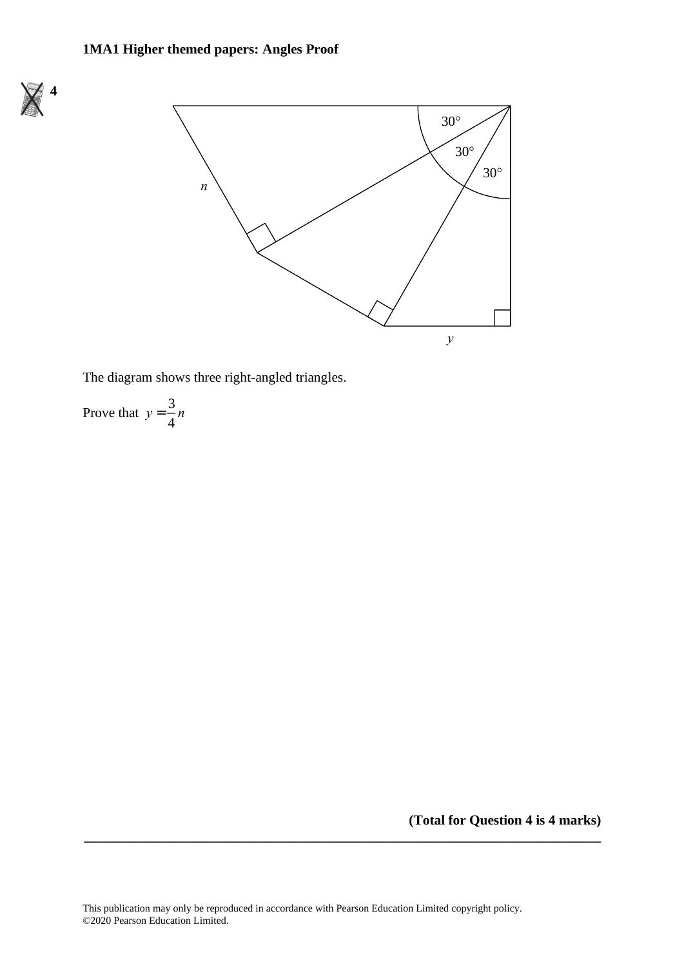# **1MA1 Higher themed papers: Angles Proof**





The diagram shows three right-angled triangles. The diagram shows three right-angled triangles.

Prove that  $y =$ 3 Prove that  $y = \frac{3}{4}n$ 4

**(Total for Question 4 is 4 marks)**